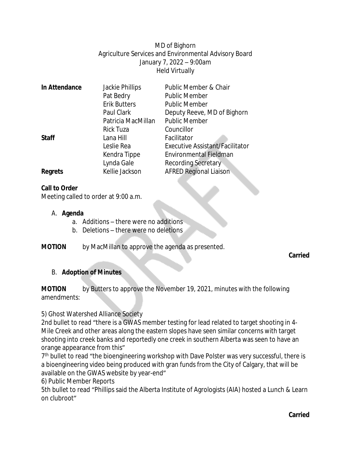MD of Bighorn Agriculture Services and Environmental Advisory Board January 7, 2022 – 9:00am Held Virtually

| In Attendance  | Jackie Phillips     | Public Member & Chair                  |
|----------------|---------------------|----------------------------------------|
|                | Pat Bedry           | <b>Public Member</b>                   |
|                | <b>Erik Butters</b> | <b>Public Member</b>                   |
|                | Paul Clark          | Deputy Reeve, MD of Bighorn            |
|                | Patricia MacMillan  | <b>Public Member</b>                   |
|                | <b>Rick Tuza</b>    | Councillor                             |
| <b>Staff</b>   | Lana Hill           | Facilitator                            |
|                | Leslie Rea          | <b>Executive Assistant/Facilitator</b> |
|                | Kendra Tippe        | Environmental Fieldman                 |
|                | Lynda Gale          | Recording Secretary                    |
| <b>Regrets</b> | Kellie Jackson      | <b>AFRED Regional Liaison</b>          |
|                |                     |                                        |

### **Call to Order**

Meeting called to order at 9:00 a.m.

#### A. **Agenda**

- a. Additions there were no additions
- b. Deletions there were no deletions
- **MOTION** by MacMillan to approve the agenda as presented.

**Carried**

#### B. **Adoption of Minutes**

**MOTION** by Butters to approve the November 19, 2021, minutes with the following amendments:

#### 5) Ghost Watershed Alliance Society

2nd bullet to read "there is a GWAS member testing for lead related to target shooting in 4- Mile Creek and other areas along the eastern slopes have seen similar concerns with target shooting into creek banks and reportedly one creek in southern Alberta was seen to have an orange appearance from this"

7<sup>th</sup> bullet to read "the bioengineering workshop with Dave Polster was very successful, there is a bioengineering video being produced with gran funds from the City of Calgary, that will be available on the GWAS website by year-end"

#### 6) Public Member Reports

5th bullet to read "Phillips said the Alberta Institute of Agrologists (AIA) hosted a Lunch & Learn on clubroot"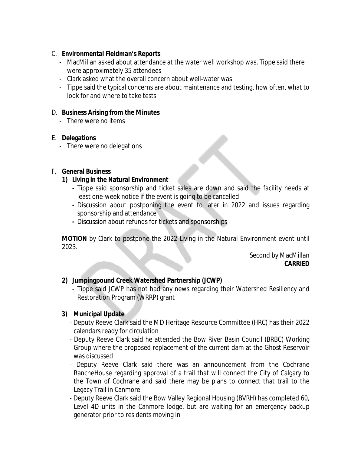### C. **Environmental Fieldman's Reports**

- MacMillan asked about attendance at the water well workshop was, Tippe said there were approximately 35 attendees
- Clark asked what the overall concern about well-water was
- Tippe said the typical concerns are about maintenance and testing, how often, what to look for and where to take tests

#### D. **Business Arising from the Minutes**

- There were no items

### E. **Delegations**

- There were no delegations

### F. **General Business**

### **1) Living in the Natural Environment**

- **-** Tippe said sponsorship and ticket sales are down and said the facility needs at least one-week notice if the event is going to be cancelled
- **-** Discussion about postponing the event to later in 2022 and issues regarding sponsorship and attendance
- **-** Discussion about refunds for tickets and sponsorships

**MOTION** by Clark to postpone the 2022 Living in the Natural Environment event until 2023.

> Second by MacMillan **CARRIED**

## **2) Jumpingpound Creek Watershed Partnership (JCWP)**

- Tippe said JCWP has not had any news regarding their Watershed Resiliency and Restoration Program (WRRP) grant

## **3) Municipal Update**

- Deputy Reeve Clark said the MD Heritage Resource Committee (HRC) has their 2022 calendars ready for circulation
- Deputy Reeve Clark said he attended the Bow River Basin Council (BRBC) Working Group where the proposed replacement of the current dam at the Ghost Reservoir was discussed
- Deputy Reeve Clark said there was an announcement from the Cochrane RancheHouse regarding approval of a trail that will connect the City of Calgary to the Town of Cochrane and said there may be plans to connect that trail to the Legacy Trail in Canmore
- Deputy Reeve Clark said the Bow Valley Regional Housing (BVRH) has completed 60, Level 4D units in the Canmore lodge, but are waiting for an emergency backup generator prior to residents moving in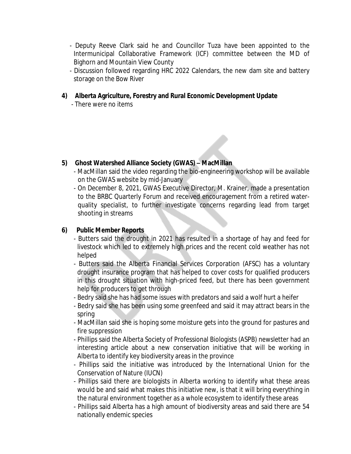- Deputy Reeve Clark said he and Councillor Tuza have been appointed to the Intermunicipal Collaborative Framework (ICF) committee between the MD of Bighorn and Mountain View County
- Discussion followed regarding HRC 2022 Calendars, the new dam site and battery storage on the Bow River

## **4) Alberta Agriculture, Forestry and Rural Economic Development Update**

- There were no items

# **5) Ghost Watershed Alliance Society (GWAS) – MacMillan**

- MacMillan said the video regarding the bio-engineering workshop will be available on the GWAS website by mid-January
- On December 8, 2021, GWAS Executive Director, M. Krainer, made a presentation to the BRBC Quarterly Forum and received encouragement from a retired waterquality specialist, to further investigate concerns regarding lead from target shooting in streams

# **6) Public Member Reports**

- Butters said the drought in 2021 has resulted in a shortage of hay and feed for livestock which led to extremely high prices and the recent cold weather has not helped
- Butters said the Alberta Financial Services Corporation (AFSC) has a voluntary drought insurance program that has helped to cover costs for qualified producers in this drought situation with high-priced feed, but there has been government help for producers to get through
- Bedry said she has had some issues with predators and said a wolf hurt a heifer
- Bedry said she has been using some greenfeed and said it may attract bears in the spring
- MacMillan said she is hoping some moisture gets into the ground for pastures and fire suppression
- Phillips said the Alberta Society of Professional Biologists (ASPB) newsletter had an interesting article about a new conservation initiative that will be working in Alberta to identify key biodiversity areas in the province
- Phillips said the initiative was introduced by the International Union for the Conservation of Nature (IUCN)
- Phillips said there are biologists in Alberta working to identify what these areas would be and said what makes this initiative new, is that it will bring everything in the natural environment together as a whole ecosystem to identify these areas
- Phillips said Alberta has a high amount of biodiversity areas and said there are 54 nationally endemic species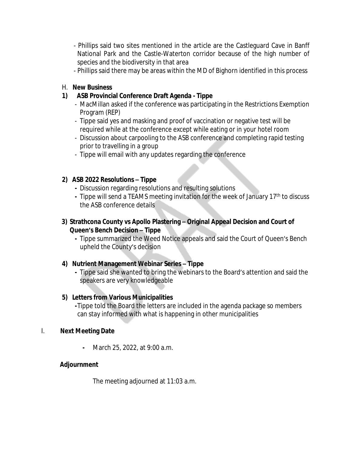- Phillips said two sites mentioned in the article are the Castleguard Cave in Banff National Park and the Castle-Waterton corridor because of the high number of species and the biodiversity in that area
- Phillips said there may be areas within the MD of Bighorn identified in this process

## H. **New Business**

# **1) ASB Provincial Conference Draft Agenda - Tippe**

- MacMillan asked if the conference was participating in the Restrictions Exemption Program (REP)
- Tippe said yes and masking and proof of vaccination or negative test will be required while at the conference except while eating or in your hotel room
- Discussion about carpooling to the ASB conference and completing rapid testing prior to travelling in a group
- Tippe will email with any updates regarding the conference

## **2) ASB 2022 Resolutions – Tippe**

- **-** Discussion regarding resolutions and resulting solutions
- **-** Tippe will send a TEAMS meeting invitation for the week of January 17th to discuss the ASB conference details

## **3) Strathcona County vs Apollo Plastering – Original Appeal Decision and Court of Queen's Bench Decision – Tippe**

**-** Tippe summarized the Weed Notice appeals and said the Court of Queen's Bench upheld the County's decision

# **4) Nutrient Management Webinar Series – Tippe**

**-** Tippe said she wanted to bring the webinars to the Board's attention and said the speakers are very knowledgeable

# **5) Letters from Various Municipalities**

**-**Tippe told the Board the letters are included in the agenda package so members can stay informed with what is happening in other municipalities

## I. **Next Meeting Date**

**-** March 25, 2022, at 9:00 a.m.

# **Adjournment**

The meeting adjourned at 11:03 a.m.